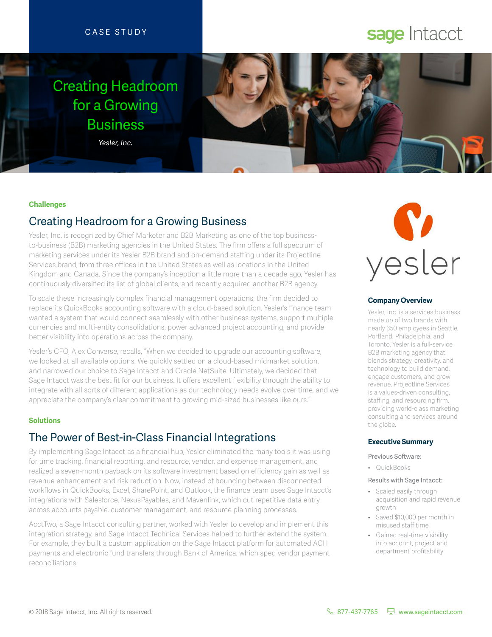## CASE STUDY

# sage Intacct

# Creating Headroom for a Growing Business

*Yesler, Inc.*



#### **Challenges**

# Creating Headroom for a Growing Business

Yesler, Inc. is recognized by Chief Marketer and B2B Marketing as one of the top businessto-business (B2B) marketing agencies in the United States. The firm offers a full spectrum of marketing services under its Yesler B2B brand and on-demand staffing under its Projectline Services brand, from three offices in the United States as well as locations in the United Kingdom and Canada. Since the company's inception a little more than a decade ago, Yesler has continuously diversified its list of global clients, and recently acquired another B2B agency.

To scale these increasingly complex financial management operations, the firm decided to replace its QuickBooks accounting software with a cloud-based solution. Yesler's finance team wanted a system that would connect seamlessly with other business systems, support multiple currencies and multi-entity consolidations, power advanced project accounting, and provide better visibility into operations across the company.

Yesler's CFO, Alex Converse, recalls, "When we decided to upgrade our accounting software, we looked at all available options. We quickly settled on a cloud-based midmarket solution, and narrowed our choice to Sage Intacct and Oracle NetSuite. Ultimately, we decided that Sage Intacct was the best fit for our business. It offers excellent flexibility through the ability to integrate with all sorts of different applications as our technology needs evolve over time, and we appreciate the company's clear commitment to growing mid-sized businesses like ours."

## **Solutions**

# The Power of Best-in-Class Financial Integrations

By implementing Sage Intacct as a financial hub, Yesler eliminated the many tools it was using for time tracking, financial reporting, and resource, vendor, and expense management, and realized a seven-month payback on its software investment based on efficiency gain as well as revenue enhancement and risk reduction. Now, instead of bouncing between disconnected workflows in QuickBooks, Excel, SharePoint, and Outlook, the finance team uses Sage Intacct's integrations with Salesforce, NexusPayables, and Mavenlink, which cut repetitive data entry across accounts payable, customer management, and resource planning processes.

AcctTwo, a Sage Intacct consulting partner, worked with Yesler to develop and implement this integration strategy, and Sage Intacct Technical Services helped to further extend the system. For example, they built a custom application on the Sage Intacct platform for automated ACH payments and electronic fund transfers through Bank of America, which sped vendor payment reconciliations.



#### **Company Overview**

Yesler, Inc. is a services business made up of two brands with nearly 350 employees in Seattle, Portland, Philadelphia, and Toronto. Yesler is a full-service B2B marketing agency that blends strategy, creativity, and technology to build demand, engage customers, and grow revenue. Projectline Services is a values-driven consulting, staffing, and resourcing firm, providing world-class marketing consulting and services around the globe.

#### **Executive Summary**

#### Previous Software:

• QuickBooks

#### Results with Sage Intacct:

- Scaled easily through acquisition and rapid revenue growth
- Saved \$10,000 per month in misused staff time
- Gained real-time visibility into account, project and department profitability